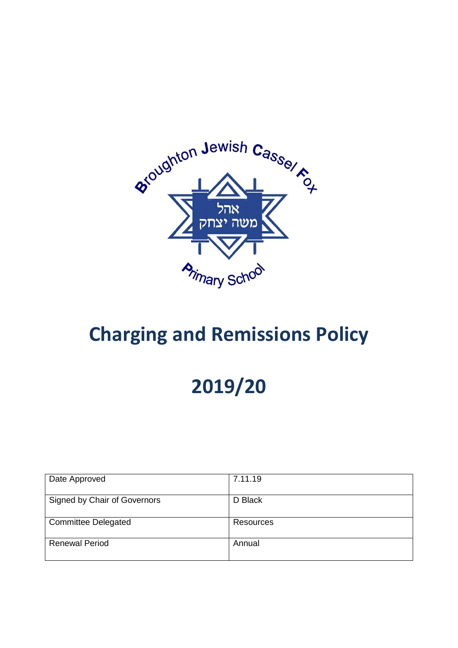

## **Charging and Remissions Policy**

# **2019/20**

| Date Approved                | 7.11.19   |
|------------------------------|-----------|
| Signed by Chair of Governors | D Black   |
| <b>Committee Delegated</b>   | Resources |
| <b>Renewal Period</b>        | Annual    |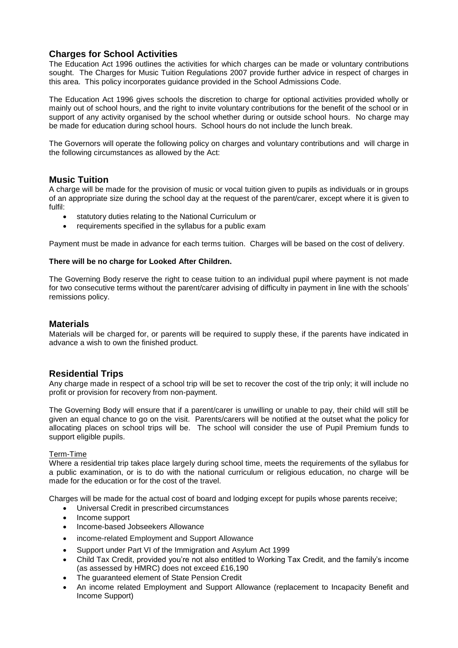## **Charges for School Activities**

The Education Act 1996 outlines the activities for which charges can be made or voluntary contributions sought. The Charges for Music Tuition Regulations 2007 provide further advice in respect of charges in this area. This policy incorporates guidance provided in the School Admissions Code.

The Education Act 1996 gives schools the discretion to charge for optional activities provided wholly or mainly out of school hours, and the right to invite voluntary contributions for the benefit of the school or in support of any activity organised by the school whether during or outside school hours. No charge may be made for education during school hours. School hours do not include the lunch break.

The Governors will operate the following policy on charges and voluntary contributions and will charge in the following circumstances as allowed by the Act:

## **Music Tuition**

A charge will be made for the provision of music or vocal tuition given to pupils as individuals or in groups of an appropriate size during the school day at the request of the parent/carer, except where it is given to fulfil:

- statutory duties relating to the National Curriculum or
- requirements specified in the syllabus for a public exam

Payment must be made in advance for each terms tuition. Charges will be based on the cost of delivery.

#### **There will be no charge for Looked After Children.**

The Governing Body reserve the right to cease tuition to an individual pupil where payment is not made for two consecutive terms without the parent/carer advising of difficulty in payment in line with the schools' remissions policy.

### **Materials**

Materials will be charged for, or parents will be required to supply these, if the parents have indicated in advance a wish to own the finished product.

## **Residential Trips**

Any charge made in respect of a school trip will be set to recover the cost of the trip only; it will include no profit or provision for recovery from non-payment.

The Governing Body will ensure that if a parent/carer is unwilling or unable to pay, their child will still be given an equal chance to go on the visit. Parents/carers will be notified at the outset what the policy for allocating places on school trips will be. The school will consider the use of Pupil Premium funds to support eligible pupils.

#### Term-Time

Where a residential trip takes place largely during school time, meets the requirements of the syllabus for a public examination, or is to do with the national curriculum or religious education, no charge will be made for the education or for the cost of the travel.

Charges will be made for the actual cost of board and lodging except for pupils whose parents receive;

- Universal Credit in prescribed circumstances
- Income support
- Income-based Jobseekers Allowance
- income-related Employment and Support Allowance
- Support under Part VI of the Immigration and Asylum Act 1999
- Child Tax Credit, provided you're not also entitled to Working Tax Credit, and the family's income (as assessed by HMRC) does not exceed £16,190
- The guaranteed element of State Pension Credit
- An income related Employment and Support Allowance (replacement to Incapacity Benefit and Income Support)